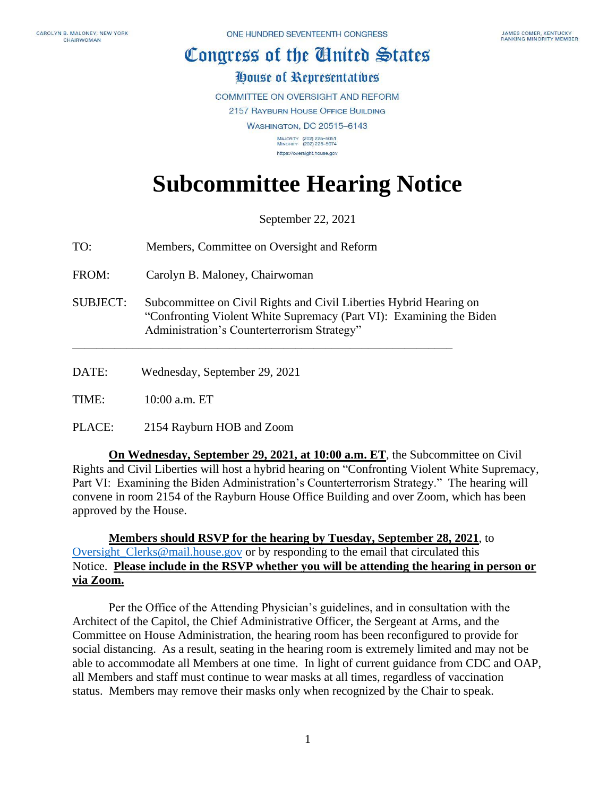## Congress of the Cluited States

## House of Representatives

**COMMITTEE ON OVERSIGHT AND REFORM** 

2157 RAYBURN HOUSE OFFICE BUILDING

**WASHINGTON, DC 20515-6143** 

MAJORITY (202) 225-5051<br>MINORITY (202) 225-5074 https://oversight.house.gov

## **Subcommittee Hearing Notice**

September 22, 2021

| TO: | Members, Committee on Oversight and Reform |
|-----|--------------------------------------------|
|-----|--------------------------------------------|

FROM: Carolyn B. Maloney, Chairwoman

SUBJECT: Subcommittee on Civil Rights and Civil Liberties Hybrid Hearing on "Confronting Violent White Supremacy (Part VI): Examining the Biden Administration's Counterterrorism Strategy"

\_\_\_\_\_\_\_\_\_\_\_\_\_\_\_\_\_\_\_\_\_\_\_\_\_\_\_\_\_\_\_\_\_\_\_\_\_\_\_\_\_\_\_\_\_\_\_\_\_\_\_\_\_\_\_\_\_\_\_\_\_\_\_

DATE: Wednesday, September 29, 2021

TIME: 10:00 a.m. ET

PLACE: 2154 Rayburn HOB and Zoom

**On Wednesday, September 29, 2021, at 10:00 a.m. ET**, the Subcommittee on Civil Rights and Civil Liberties will host a hybrid hearing on "Confronting Violent White Supremacy, Part VI: Examining the Biden Administration's Counterterrorism Strategy." The hearing will convene in room 2154 of the Rayburn House Office Building and over Zoom, which has been approved by the House.

**Members should RSVP for the hearing by Tuesday, September 28, 2021**, to [Oversight\\_Clerks@mail.house.gov](mailto:Oversight_Clerks@mail.house.gov) or by responding to the email that circulated this Notice. **Please include in the RSVP whether you will be attending the hearing in person or via Zoom.**

Per the Office of the Attending Physician's guidelines, and in consultation with the Architect of the Capitol, the Chief Administrative Officer, the Sergeant at Arms, and the Committee on House Administration, the hearing room has been reconfigured to provide for social distancing. As a result, seating in the hearing room is extremely limited and may not be able to accommodate all Members at one time. In light of current guidance from CDC and OAP, all Members and staff must continue to wear masks at all times, regardless of vaccination status. Members may remove their masks only when recognized by the Chair to speak.